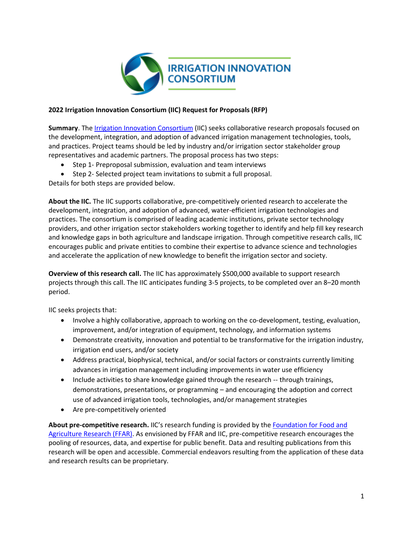

## **2022 Irrigation Innovation Consortium (IIC) Request for Proposals (RFP)**

**Summary**. The [Irrigation Innovation Consortium](https://irrigationinnovation.org/) (IIC) seeks collaborative research proposals focused on the development, integration, and adoption of advanced irrigation management technologies, tools, and practices. Project teams should be led by industry and/or irrigation sector stakeholder group representatives and academic partners. The proposal process has two steps:

- Step 1- Preproposal submission, evaluation and team interviews
- Step 2- Selected project team invitations to submit a full proposal.

Details for both steps are provided below.

**About the IIC.** The IIC supports collaborative, pre-competitively oriented research to accelerate the development, integration, and adoption of advanced, water-efficient irrigation technologies and practices. The consortium is comprised of leading academic institutions, private sector technology providers, and other irrigation sector stakeholders working together to identify and help fill key research and knowledge gaps in both agriculture and landscape irrigation. Through competitive research calls, IIC encourages public and private entities to combine their expertise to advance science and technologies and accelerate the application of new knowledge to benefit the irrigation sector and society.

**Overview of this research call.** The IIC has approximately \$500,000 available to support research projects through this call. The IIC anticipates funding 3-5 projects, to be completed over an 8–20 month period.

IIC seeks projects that:

- Involve a highly collaborative, approach to working on the co-development, testing, evaluation, improvement, and/or integration of equipment, technology, and information systems
- Demonstrate creativity, innovation and potential to be transformative for the irrigation industry, irrigation end users, and/or society
- Address practical, biophysical, technical, and/or social factors or constraints currently limiting advances in irrigation management including improvements in water use efficiency
- Include activities to share knowledge gained through the research -- through trainings, demonstrations, presentations, or programming – and encouraging the adoption and correct use of advanced irrigation tools, technologies, and/or management strategies
- Are pre-competitively oriented

**About pre-competitive research.** IIC's research funding is provided by the [Foundation for Food and](https://foundationfar.org/)  [Agriculture Research \(FFAR\).](https://foundationfar.org/) As envisioned by FFAR and IIC, pre-competitive research encourages the pooling of resources, data, and expertise for public benefit. Data and resulting publications from this research will be open and accessible. Commercial endeavors resulting from the application of these data and research results can be proprietary.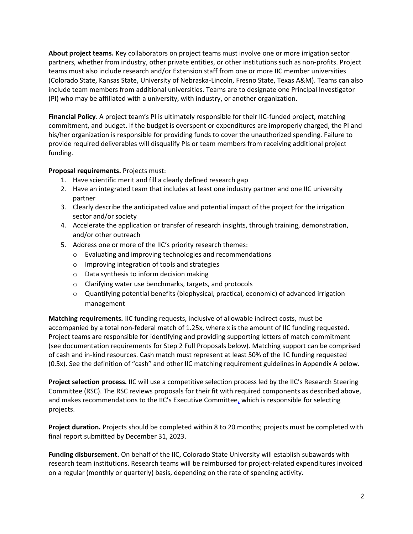**About project teams.** Key collaborators on project teams must involve one or more irrigation sector partners, whether from industry, other private entities, or other institutions such as non-profits. Project teams must also include research and/or Extension staff from one or more IIC member universities (Colorado State, Kansas State, University of Nebraska-Lincoln, Fresno State, Texas A&M). Teams can also include team members from additional universities. Teams are to designate one Principal Investigator (PI) who may be affiliated with a university, with industry, or another organization.

**Financial Policy**. A project team's PI is ultimately responsible for their IIC-funded project, matching commitment, and budget. If the budget is overspent or expenditures are improperly charged, the PI and his/her organization is responsible for providing funds to cover the unauthorized spending. Failure to provide required deliverables will disqualify PIs or team members from receiving additional project funding.

#### **Proposal requirements.** Projects must:

- 1. Have scientific merit and fill a clearly defined research gap
- 2. Have an integrated team that includes at least one industry partner and one IIC university partner
- 3. Clearly describe the anticipated value and potential impact of the project for the irrigation sector and/or society
- 4. Accelerate the application or transfer of research insights, through training, demonstration, and/or other outreach
- 5. Address one or more of the IIC's priority research themes:
	- o Evaluating and improving technologies and recommendations
	- o Improving integration of tools and strategies
	- o Data synthesis to inform decision making
	- o Clarifying water use benchmarks, targets, and protocols
	- $\circ$  Quantifying potential benefits (biophysical, practical, economic) of advanced irrigation management

**Matching requirements.** IIC funding requests, inclusive of allowable indirect costs, must be accompanied by a total non-federal match of 1.25x, where x is the amount of IIC funding requested. Project teams are responsible for identifying and providing supporting letters of match commitment (see documentation requirements for Step 2 Full Proposals below). Matching support can be comprised of cash and in-kind resources. Cash match must represent at least 50% of the IIC funding requested (0.5x). See the definition of "cash" and other IIC matching requirement guidelines in Appendix A below.

**Project selection process.** IIC will use a competitive selection process led by the IIC's Research Steering Committee (RSC). The RSC reviews proposals for their fit with required components as described above, and makes recommendations to the IIC's Executive Committee, which is responsible for selecting projects.

**Project duration.** Projects should be completed within 8 to 20 months; projects must be completed with final report submitted by December 31, 2023.

**Funding disbursement.** On behalf of the IIC, Colorado State University will establish subawards with research team institutions. Research teams will be reimbursed for project-related expenditures invoiced on a regular (monthly or quarterly) basis, depending on the rate of spending activity.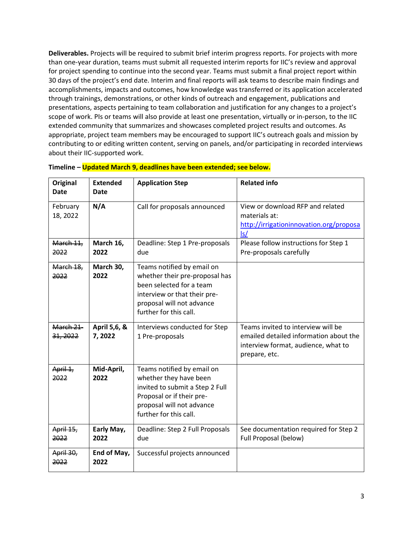**Deliverables.** Projects will be required to submit brief interim progress reports. For projects with more than one-year duration, teams must submit all requested interim reports for IIC's review and approval for project spending to continue into the second year. Teams must submit a final project report within 30 days of the project's end date. Interim and final reports will ask teams to describe main findings and accomplishments, impacts and outcomes, how knowledge was transferred or its application accelerated through trainings, demonstrations, or other kinds of outreach and engagement, publications and presentations, aspects pertaining to team collaboration and justification for any changes to a project's scope of work. PIs or teams will also provide at least one presentation, virtually or in-person, to the IIC extended community that summarizes and showcases completed project results and outcomes. As appropriate, project team members may be encouraged to support IIC's outreach goals and mission by contributing to or editing written content, serving on panels, and/or participating in recorded interviews about their IIC-supported work.

| Original<br><b>Date</b> | <b>Extended</b><br>Date | <b>Application Step</b>                                                                                                                                                         | <b>Related info</b>                                                                                                                  |
|-------------------------|-------------------------|---------------------------------------------------------------------------------------------------------------------------------------------------------------------------------|--------------------------------------------------------------------------------------------------------------------------------------|
| February<br>18, 2022    | N/A                     | Call for proposals announced                                                                                                                                                    | View or download RFP and related<br>materials at:<br>http://irrigationinnovation.org/proposa<br>$\mathsf{ls}/$                       |
| March 11,<br>2022       | March 16,<br>2022       | Deadline: Step 1 Pre-proposals<br>due                                                                                                                                           | Please follow instructions for Step 1<br>Pre-proposals carefully                                                                     |
| March 18,<br>2022       | March 30,<br>2022       | Teams notified by email on<br>whether their pre-proposal has<br>been selected for a team<br>interview or that their pre-<br>proposal will not advance<br>further for this call. |                                                                                                                                      |
| March 21-<br>31, 2022   | April 5,6, &<br>7,2022  | Interviews conducted for Step<br>1 Pre-proposals                                                                                                                                | Teams invited to interview will be<br>emailed detailed information about the<br>interview format, audience, what to<br>prepare, etc. |
| April 1,<br>2022        | Mid-April,<br>2022      | Teams notified by email on<br>whether they have been<br>invited to submit a Step 2 Full<br>Proposal or if their pre-<br>proposal will not advance<br>further for this call.     |                                                                                                                                      |
| April 15,<br>2022       | Early May,<br>2022      | Deadline: Step 2 Full Proposals<br>due                                                                                                                                          | See documentation required for Step 2<br>Full Proposal (below)                                                                       |
| April 30,<br>2022       | End of May,<br>2022     | Successful projects announced                                                                                                                                                   |                                                                                                                                      |

|  | Timeline - Updated March 9, deadlines have been extended; see below. |  |
|--|----------------------------------------------------------------------|--|
|  |                                                                      |  |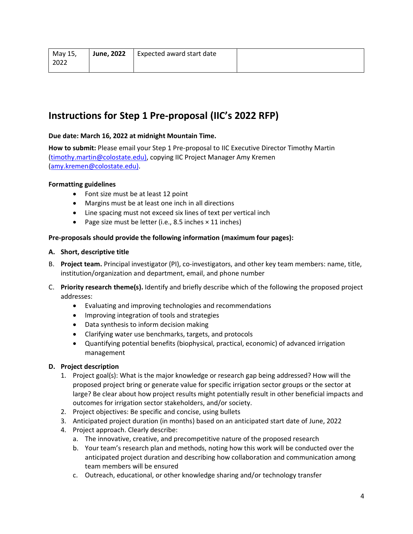| May 15, | <b>June, 2022</b> | Expected award start date |  |
|---------|-------------------|---------------------------|--|
| 2022    |                   |                           |  |

## **Instructions for Step 1 Pre-proposal (IIC's 2022 RFP)**

## **Due date: March 16, 2022 at midnight Mountain Time.**

**How to submit:** Please email your Step 1 Pre-proposal to IIC Executive Director Timothy Martin [\(timothy.martin@colostate.edu\),](mailto:timothy.martin@colostate.edu)) copying IIC Project Manager Amy Kremen [\(amy.kremen@colostate.edu\).](mailto:amy.kremen@colostate.edu))

#### **Formatting guidelines**

- Font size must be at least 12 point
- Margins must be at least one inch in all directions
- Line spacing must not exceed six lines of text per vertical inch
- Page size must be letter (i.e., 8.5 inches × 11 inches)

#### **Pre-proposals should provide the following information (maximum four pages):**

#### **A. Short, descriptive title**

- B. **Project team.** Principal investigator (PI), co-investigators, and other key team members: name, title, institution/organization and department, email, and phone number
- C. **Priority research theme(s).** Identify and briefly describe which of the following the proposed project addresses:
	- Evaluating and improving technologies and recommendations
	- Improving integration of tools and strategies
	- Data synthesis to inform decision making
	- Clarifying water use benchmarks, targets, and protocols
	- Quantifying potential benefits (biophysical, practical, economic) of advanced irrigation management

#### **D. Project description**

- 1. Project goal(s): What is the major knowledge or research gap being addressed? How will the proposed project bring or generate value for specific irrigation sector groups or the sector at large? Be clear about how project results might potentially result in other beneficial impacts and outcomes for irrigation sector stakeholders, and/or society.
- 2. Project objectives: Be specific and concise, using bullets
- 3. Anticipated project duration (in months) based on an anticipated start date of June, 2022
- 4. Project approach. Clearly describe:
	- a. The innovative, creative, and precompetitive nature of the proposed research
	- b. Your team's research plan and methods, noting how this work will be conducted over the anticipated project duration and describing how collaboration and communication among team members will be ensured
	- c. Outreach, educational, or other knowledge sharing and/or technology transfer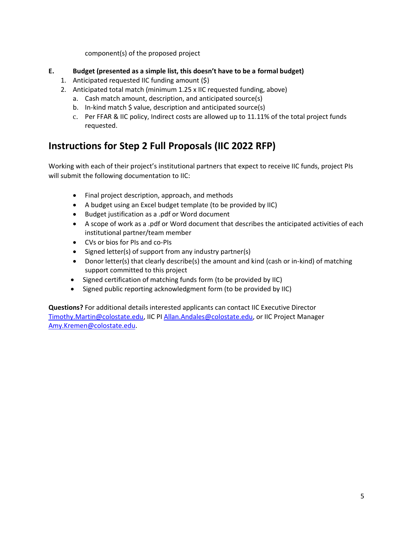component(s) of the proposed project

- **E. Budget (presented as a simple list, this doesn't have to be a formal budget)**
	- 1. Anticipated requested IIC funding amount (\$)
	- 2. Anticipated total match (minimum 1.25 x IIC requested funding, above)
		- a. Cash match amount, description, and anticipated source(s)
		- b. In-kind match \$ value, description and anticipated source(s)
		- c. Per FFAR & IIC policy, Indirect costs are allowed up to 11.11% of the total project funds requested.

# **Instructions for Step 2 Full Proposals (IIC 2022 RFP)**

Working with each of their project's institutional partners that expect to receive IIC funds, project PIs will submit the following documentation to IIC:

- Final project description, approach, and methods
- A budget using an Excel budget template (to be provided by IIC)
- Budget justification as a .pdf or Word document
- A scope of work as a .pdf or Word document that describes the anticipated activities of each institutional partner/team member
- CVs or bios for PIs and co-PIs
- Signed letter(s) of support from any industry partner(s)
- Donor letter(s) that clearly describe(s) the amount and kind (cash or in-kind) of matching support committed to this project
- Signed certification of matching funds form (to be provided by IIC)
- Signed public reporting acknowledgment form (to be provided by IIC)

**Questions?** For additional details interested applicants can contact IIC Executive Director [Timothy.Martin@colostate.edu,](mailto:Timothy.Martin@colostate.edu) IIC PI [Allan.Andales@colostate.edu,](about:blank) or IIC Project Manager [Amy.Kremen@colostate.edu.](mailto:Amy.Kremen@colostate.edu)